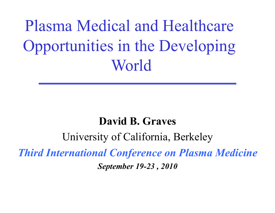Plasma Medical and Healthcare Opportunities in the Developing World

# **David B. Graves**

University of California, Berkeley *Third International Conference on Plasma Medicine September 19-23 , 2010*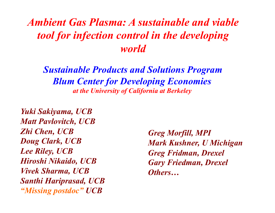# *Ambient Gas Plasma: A sustainable and viable tool for infection control in the developing world*

*Sustainable Products and Solutions Program Blum Center for Developing Economies at the University of California at Berkeley* 

*Yuki Sakiyama, UCB Matt Pavlovitch, UCB Zhi Chen, UCB Doug Clark, UCB Lee Riley, UCB Hiroshi Nikaido, UCB Vivek Sharma, UCB Santhi Hariprasad, UCB "Missing postdoc" UCB* 

*Greg Morfill, MPI Mark Kushner, U Michigan Greg Fridman, Drexel Gary Friedman, Drexel Others…*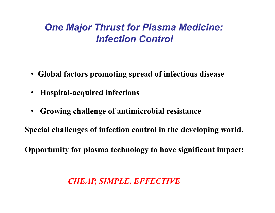### *One Major Thrust for Plasma Medicine: Infection Control*

- • **Global factors promoting spread of infectious disease**
- **Hospital-acquired infections**
- **Growing challenge of antimicrobial resistance**

**Special challenges of infection control in the developing world.** 

**Opportunity for plasma technology to have significant impact:** 

#### *CHEAP, SIMPLE, EFFECTIVE*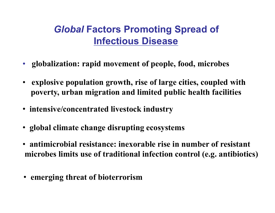# *Global* **Factors Promoting Spread of Infectious Disease**

- **globalization: rapid movement of people, food, microbes**
- • **explosive population growth, rise of large cities, coupled with poverty, urban migration and limited public health facilities**
- • **intensive/concentrated livestock industry**
- • **global climate change disrupting ecosystems**
- • **antimicrobial resistance: inexorable rise in number of resistant microbes limits use of traditional infection control (e.g. antibiotics)**
- • **emerging threat of bioterrorism**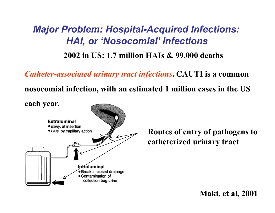# *Major Problem: Hospital-Acquired Infections: HAI, or 'Nosocomial' Infections*

**2002 in US: 1.7 million HAIs & 99,000 deaths** 

*Catheter-associated urinary tract infections***. CAUTI is a common** 

**nosocomial infection, with an estimated 1 million cases in the US** 

**each year.** 



**Routes of entry of pathogens to catheterized urinary tract** 

**Maki, et al, 2001**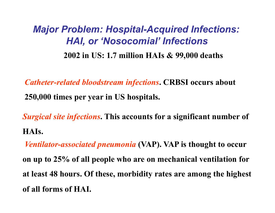# *Major Problem: Hospital-Acquired Infections: HAI, or 'Nosocomial' Infections* **2002 in US: 1.7 million HAIs & 99,000 deaths**

*Catheter-related bloodstream infections***. CRBSI occurs about 250,000 times per year in US hospitals.** 

*Surgical site infections***. This accounts for a significant number of HAIs.** 

*Ventilator-associated pneumonia* **(VAP). VAP is thought to occur on up to 25% of all people who are on mechanical ventilation for at least 48 hours. Of these, morbidity rates are among the highest of all forms of HAI.**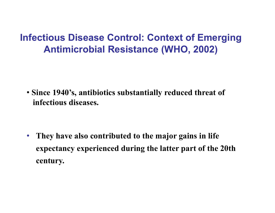• **Since 1940's, antibiotics substantially reduced threat of infectious diseases.** 

• **They have also contributed to the major gains in life expectancy experienced during the latter part of the 20th century.**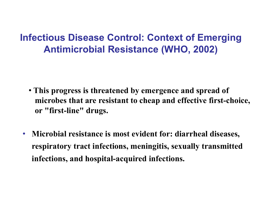- • **This progress is threatened by emergence and spread of microbes that are resistant to cheap and effective first-choice, or "first-line" drugs.**
- **Microbial resistance is most evident for: diarrheal diseases, respiratory tract infections, meningitis, sexually transmitted infections, and hospital-acquired infections.**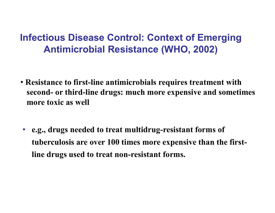- • **Resistance to first-line antimicrobials requires treatment with second- or third-line drugs: much more expensive and sometimes more toxic as well**
- **e.g., drugs needed to treat multidrug-resistant forms of tuberculosis are over 100 times more expensive than the firstline drugs used to treat non-resistant forms.**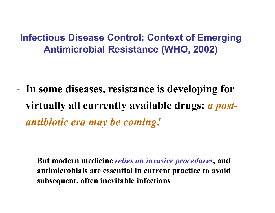- **In some diseases, resistance is developing for virtually all currently available drugs:** *a postantibiotic era may be coming!*

**But modern medicine** *relies on invasive procedures***, and antimicrobials are essential in current practice to avoid subsequent, often inevitable infections**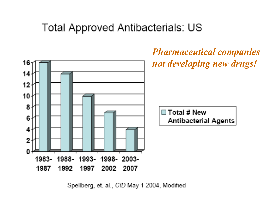# **Total Approved Antibacterials: US**



Spellberg, et. al., CID May 1 2004, Modified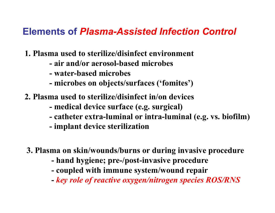#### **Elements of** *Plasma-Assisted Infection Control*

- **1. Plasma used to sterilize/disinfect environment** 
	- **air and/or aerosol-based microbes**
	- **water-based microbes**
	- **microbes on objects/surfaces ('fomites')**
- **2. Plasma used to sterilize/disinfect in/on devices** 
	- **medical device surface (e.g. surgical)**
	- **catheter extra-luminal or intra-luminal (e.g. vs. biofilm)**
	- **implant device sterilization**
- **3. Plasma on skin/wounds/burns or during invasive procedure** 
	- **hand hygiene; pre-/post-invasive procedure**
	- **coupled with immune system/wound repair**
	- *key role of reactive oxygen/nitrogen species ROS/RNS*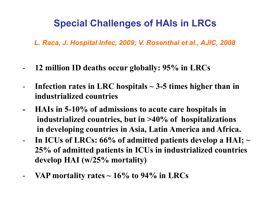# **Special Challenges of HAIs in LRCs**

*L. Raca, J. Hospital Infec, 2009; V. Rosenthal et al., AJIC, 2008*

- **12 million ID deaths occur globally: 95% in LRCs**
- **Infection rates in LRC hospitals ~ 3-5 times higher than in industrialized countries**
- **HAIs in 5-10% of admissions to acute care hospitals in industrialized countries, but in >40% of hospitalizations in developing countries in Asia, Latin America and Africa.**
- In ICUs of LRCs: 66% of admitted patients develop a HAI;  $\sim$ **25% of admitted patients in ICUs in industrialized countries develop HAI (w/25% mortality)**
- **VAP mortality rates ~ 16% to 94% in LRCs**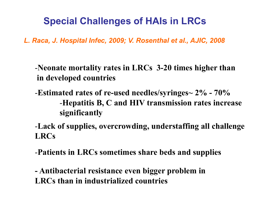# **Special Challenges of HAIs in LRCs**

*L. Raca, J. Hospital Infec, 2009; V. Rosenthal et al., AJIC, 2008*

-**Neonate mortality rates in LRCs 3-20 times higher than in developed countries** 

-**Estimated rates of re-used needles/syringes~ 2% - 70%**  -**Hepatitis B, C and HIV transmission rates increase significantly** 

-**Lack of supplies, overcrowding, understaffing all challenge LRCs** 

-**Patients in LRCs sometimes share beds and supplies** 

**- Antibacterial resistance even bigger problem in LRCs than in industrialized countries**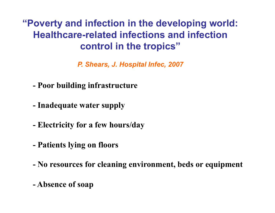### **"Poverty and infection in the developing world: Healthcare-related infections and infection control in the tropics"**

*P. Shears, J. Hospital Infec, 2007*

- **Poor building infrastructure**
- **Inadequate water supply**
- **Electricity for a few hours/day**
- **Patients lying on floors**
- **No resources for cleaning environment, beds or equipment**
- **Absence of soap**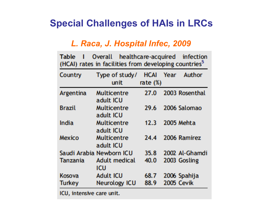### **Special Challenges of HAIs in LRCs**

#### *L. Raca, J. Hospital Infec, 2009*

| Table         | Overall<br>(HCAI) rates in facilities from developing countries <sup>5</sup> | healthcare-acquired      | infection         |
|---------------|------------------------------------------------------------------------------|--------------------------|-------------------|
| Country       | Type of study/<br>unit                                                       | HCAI Year<br>rate $(\%)$ | Author            |
| Argentina     | Multicentre<br>adult ICU                                                     | 27.0                     | 2003 Rosenthal    |
| Brazil        | Multicentre<br>adult ICU                                                     | 29.6                     | 2006 Salomao      |
| India         | Multicentre<br>adult ICU                                                     | 12.3                     | 2005 Mehta        |
| <b>Mexico</b> | Multicentre<br>adult ICU                                                     | 24.4                     | 2006 Ramirez      |
|               | Saudi Arabia Newborn ICU                                                     | 35.8                     | 2002 Al-Ghamdi    |
| Tanzania      | Adult medical<br>icu                                                         | 40.0                     | 2003 Gosling      |
| Kosova        | <b>Adult ICU</b>                                                             | 68.7                     | 2006 Spahija      |
| <b>Turkey</b> | <b>Neurology ICU</b>                                                         | 88.9                     | <b>2005 Cevik</b> |
|               |                                                                              |                          |                   |

ICU, intensive care unit.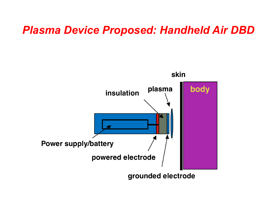# *Plasma Device Proposed: Handheld Air DBD*

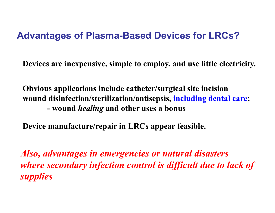#### **Advantages of Plasma-Based Devices for LRCs?**

**Devices are inexpensive, simple to employ, and use little electricity.** 

**Obvious applications include catheter/surgical site incision wound disinfection/sterilization/antisepsis, including dental care; - wound** *healing* **and other uses a bonus** 

**Device manufacture/repair in LRCs appear feasible.** 

*Also, advantages in emergencies or natural disasters where secondary infection control is difficult due to lack of supplies*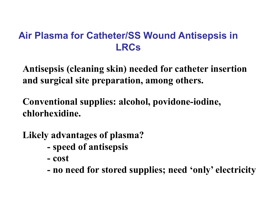### **Air Plasma for Catheter/SS Wound Antisepsis in LRCs**

**Antisepsis (cleaning skin) needed for catheter insertion and surgical site preparation, among others.** 

**Conventional supplies: alcohol, povidone-iodine, chlorhexidine.** 

**Likely advantages of plasma?** 

- **speed of antisepsis**
- **cost**
- **no need for stored supplies; need 'only' electricity**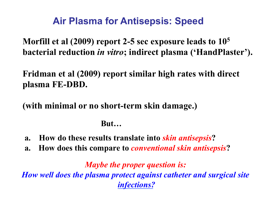# **Air Plasma for Antisepsis: Speed**

**Morfill et al (2009) report 2-5 sec exposure leads to 105 bacterial reduction** *in vitro***; indirect plasma ('HandPlaster').** 

**Fridman et al (2009) report similar high rates with direct plasma FE-DBD.** 

**(with minimal or no short-term skin damage.)** 

#### **But…**

- **a. How do these results translate into** *skin antisepsis***?**
- **a. How does this compare to** *conventional skin antisepsis***?**

*Maybe the proper question is: How well does the plasma protect against catheter and surgical site infections?*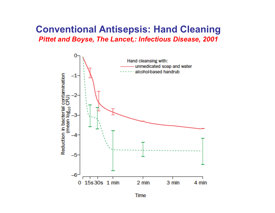#### **Conventional Antisepsis: Hand Cleaning**  *Pittet and Boyse, The Lancet,: Infectious Disease, 2001*



Time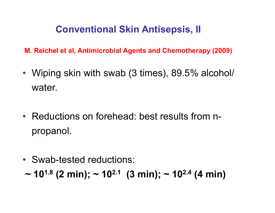# **Conventional Skin Antisepsis, II**

**M. Reichel et al, Antimicrobial Agents and Chemotherapy (2009)** 

- Wiping skin with swab (3 times), 89.5% alcohol/ water.
- Reductions on forehead: best results from npropanol.
- Swab-tested reductions:
- $\sim$  10<sup>1.8</sup> (2 min);  $\sim$  10<sup>2.1</sup> (3 min);  $\sim$  10<sup>2.4</sup> (4 min)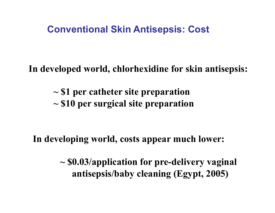#### **Conventional Skin Antisepsis: Cost**

**In developed world, chlorhexidine for skin antisepsis:** 

 **~ \$1 per catheter site preparation ~ \$10 per surgical site preparation** 

**In developing world, costs appear much lower:** 

 **~ \$0.03/application for pre-delivery vaginal antisepsis/baby cleaning (Egypt, 2005)**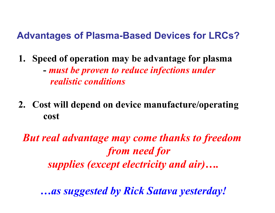#### **Advantages of Plasma-Based Devices for LRCs?**

**1. Speed of operation may be advantage for plasma** 

 **-** *must be proven to reduce infections under realistic conditions* 

**2. Cost will depend on device manufacture/operating cost** 

*But real advantage may come thanks to freedom from need for supplies (except electricity and air)….* 

*…as suggested by Rick Satava yesterday!*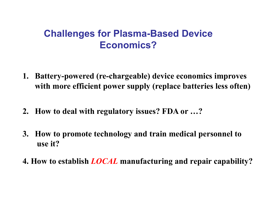#### **Challenges for Plasma-Based Device Economics?**

- **1. Battery-powered (re-chargeable) device economics improves with more efficient power supply (replace batteries less often)**
- **2. How to deal with regulatory issues? FDA or …?**
- **3. How to promote technology and train medical personnel to use it?**
- **4. How to establish** *LOCAL* **manufacturing and repair capability?**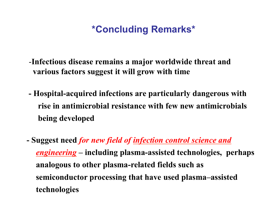### **\*Concluding Remarks\***

- -**Infectious disease remains a major worldwide threat and various factors suggest it will grow with time**
- **Hospital-acquired infections are particularly dangerous with rise in antimicrobial resistance with few new antimicrobials being developed**
- **Suggest need** *for new field of infection control science and engineering* **– including plasma-assisted technologies, perhaps analogous to other plasma-related fields such as semiconductor processing that have used plasma–assisted technologies**